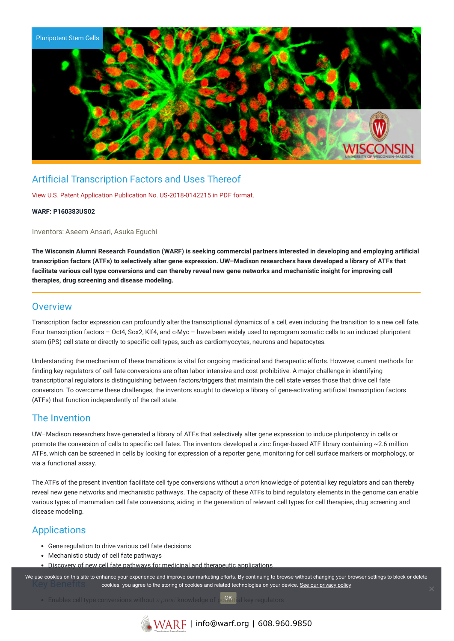

# Artificial Transcription Factors and Uses Thereof

View U.S. Patent Application Publication No. [US-2018-0142215](https://www.warf.org/wp-content/uploads/technologies/pubapps/P160383US02-Published-Application.PDF) in PDF format.

#### **WARF: P160383US02**

Inventors: Aseem Ansari, Asuka Eguchi

The Wisconsin Alumni Research Foundation (WARF) is seeking commercial partners interested in developing and employing artificial transcription factors (ATFs) to selectively alter gene expression. UW-Madison researchers have developed a library of ATFs that facilitate various cell type conversions and can thereby reveal new gene networks and mechanistic insight for improving cell **therapies, drug screening and disease modeling.**

### **Overview**

Transcription factor expression can profoundly alter the transcriptional dynamics of a cell, even inducing the transition to a new cell fate. Four transcription factors – Oct4, Sox2, Klf4, and c-Myc – have been widely used to reprogram somatic cells to an induced pluripotent stem (iPS) cell state or directly to specific cell types, such as cardiomyocytes, neurons and hepatocytes.

Understanding the mechanism of these transitions is vital for ongoing medicinal and therapeutic efforts. However, current methods for finding key regulators of cell fate conversions are often labor intensive and cost prohibitive. A major challenge in identifying transcriptional regulators is distinguishing between factors/triggers that maintain the cell state verses those that drive cell fate conversion. To overcome these challenges, the inventors sought to develop a library of gene-activating artificial transcription factors (ATFs) that function independently of the cell state.

### The Invention

UW–Madison researchers have generated a library of ATFs that selectively alter gene expression to induce pluripotency in cells or promote the conversion of cells to specific cell fates. The inventors developed a zinc finger-based ATF library containing ~2.6 million ATFs, which can be screened in cells by looking for expression of a reporter gene, monitoring for cell surface markers or morphology, or via a functional assay.

The ATFs of the present invention facilitate cell type conversions without *a priori* knowledge of potential key regulators and can thereby reveal new gene networks and mechanistic pathways. The capacity of these ATFs to bind regulatory elements in the genome can enable various types of mammalian cell fate conversions, aiding in the generation of relevant cell types for cell therapies, drug screening and disease modeling.

## **Applications**

- Gene regulation to drive various cell fate decisions
- Mechanistic study of cell fate pathways
- Discovery of new cell fate pathways for medicinal and therapeutic applications

We use cookies on this site to enhance your experience and improve our marketing efforts. By continuing to browse without changing your browser settings to block or delete cookies, you agree to the storing of cookies and related technologies on your device. [See our privacy policy](https://www.warf.org/privacy-policy/)

**Enables cell type conversions without a** *priori* **knowledge of potential key regulators OK** al key regulators